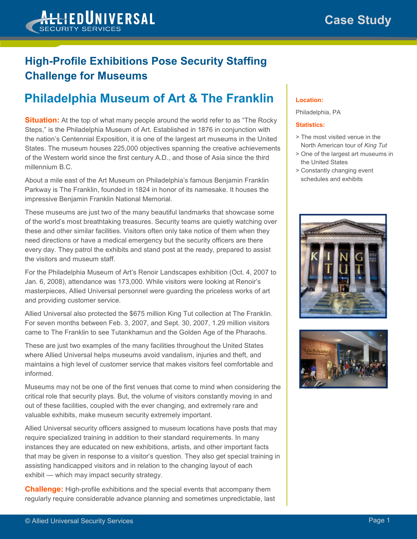

## **High-Profile Exhibitions Pose Security Staffing Challenge for Museums**

## **Philadelphia Museum of Art & The Franklin**

**Situation:** At the top of what many people around the world refer to as "The Rocky" Steps," is the Philadelphia Museum of Art. Established in 1876 in conjunction with the nation's Centennial Exposition, it is one of the largest art museums in the United States. The museum houses 225,000 objectives spanning the creative achievements of the Western world since the first century A.D., and those of Asia since the third millennium B.C.

About a mile east of the Art Museum on Philadelphia's famous Benjamin Franklin Parkway is The Franklin, founded in 1824 in honor of its namesake. It houses the impressive Benjamin Franklin National Memorial.

These museums are just two of the many beautiful landmarks that showcase some of the world's most breathtaking treasures. Security teams are quietly watching over these and other similar facilities. Visitors often only take notice of them when they need directions or have a medical emergency but the security officers are there every day. They patrol the exhibits and stand post at the ready, prepared to assist the visitors and museum staff.

For the Philadelphia Museum of Art's Renoir Landscapes exhibition (Oct. 4, 2007 to Jan. 6, 2008), attendance was 173,000. While visitors were looking at Renoir's masterpieces, Allied Universal personnel were guarding the priceless works of art and providing customer service.

Allied Universal also protected the \$675 million King Tut collection at The Franklin. For seven months between Feb. 3, 2007, and Sept. 30, 2007, 1.29 million visitors came to The Franklin to see Tutankhamun and the Golden Age of the Pharaohs.

These are just two examples of the many facilities throughout the United States where Allied Universal helps museums avoid vandalism, injuries and theft, and maintains a high level of customer service that makes visitors feel comfortable and informed.

Museums may not be one of the first venues that come to mind when considering the critical role that security plays. But, the volume of visitors constantly moving in and out of these facilities, coupled with the ever changing, and extremely rare and valuable exhibits, make museum security extremely important.

Allied Universal security officers assigned to museum locations have posts that may require specialized training in addition to their standard requirements. In many instances they are educated on new exhibitions, artists, and other important facts that may be given in response to a visitor's question. They also get special training in assisting handicapped visitors and in relation to the changing layout of each exhibit — which may impact security strategy.

**Challenge:** High-profile exhibitions and the special events that accompany them regularly require considerable advance planning and sometimes unpredictable, last

### **Location:**

Philadelphia, PA

#### **Statistics:**

- > The most visited venue in the North American tour of *King Tut*
- > One of the largest art museums in the United States
- > Constantly changing event schedules and exhibits



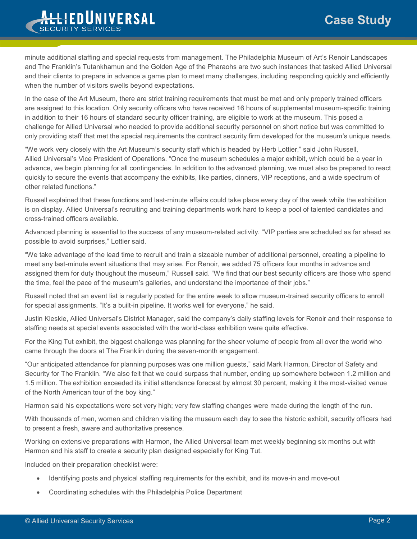# **Case Study**



minute additional staffing and special requests from management. The Philadelphia Museum of Art's Renoir Landscapes and The Franklin's Tutankhamun and the Golden Age of the Pharaohs are two such instances that tasked Allied Universal and their clients to prepare in advance a game plan to meet many challenges, including responding quickly and efficiently when the number of visitors swells beyond expectations.

In the case of the Art Museum, there are strict training requirements that must be met and only properly trained officers are assigned to this location. Only security officers who have received 16 hours of supplemental museum-specific training in addition to their 16 hours of standard security officer training, are eligible to work at the museum. This posed a challenge for Allied Universal who needed to provide additional security personnel on short notice but was committed to only providing staff that met the special requirements the contract security firm developed for the museum's unique needs.

"We work very closely with the Art Museum's security staff which is headed by Herb Lottier," said John Russell, Allied Universal's Vice President of Operations. "Once the museum schedules a major exhibit, which could be a year in advance, we begin planning for all contingencies. In addition to the advanced planning, we must also be prepared to react quickly to secure the events that accompany the exhibits, like parties, dinners, VIP receptions, and a wide spectrum of other related functions."

Russell explained that these functions and last-minute affairs could take place every day of the week while the exhibition is on display. Allied Universal's recruiting and training departments work hard to keep a pool of talented candidates and cross-trained officers available.

Advanced planning is essential to the success of any museum-related activity. "VIP parties are scheduled as far ahead as possible to avoid surprises," Lottier said.

"We take advantage of the lead time to recruit and train a sizeable number of additional personnel, creating a pipeline to meet any last-minute event situations that may arise. For Renoir, we added 75 officers four months in advance and assigned them for duty thoughout the museum," Russell said. "We find that our best security officers are those who spend the time, feel the pace of the museum's galleries, and understand the importance of their jobs."

Russell noted that an event list is regularly posted for the entire week to allow museum-trained security officers to enroll for special assignments. "It's a built-in pipeline. It works well for everyone," he said.

Justin Kleskie, Allied Universal's District Manager, said the company's daily staffing levels for Renoir and their response to staffing needs at special events associated with the world-class exhibition were quite effective.

For the King Tut exhibit, the biggest challenge was planning for the sheer volume of people from all over the world who came through the doors at The Franklin during the seven-month engagement.

"Our anticipated attendance for planning purposes was one million guests," said Mark Harmon, Director of Safety and Security for The Franklin. "We also felt that we could surpass that number, ending up somewhere between 1.2 million and 1.5 million. The exhibition exceeded its initial attendance forecast by almost 30 percent, making it the most-visited venue of the North American tour of the boy king."

Harmon said his expectations were set very high; very few staffing changes were made during the length of the run.

With thousands of men, women and children visiting the museum each day to see the historic exhibit, security officers had to present a fresh, aware and authoritative presence.

Working on extensive preparations with Harmon, the Allied Universal team met weekly beginning six months out with Harmon and his staff to create a security plan designed especially for King Tut.

Included on their preparation checklist were:

- Identifying posts and physical staffing requirements for the exhibit, and its move-in and move-out
- Coordinating schedules with the Philadelphia Police Department